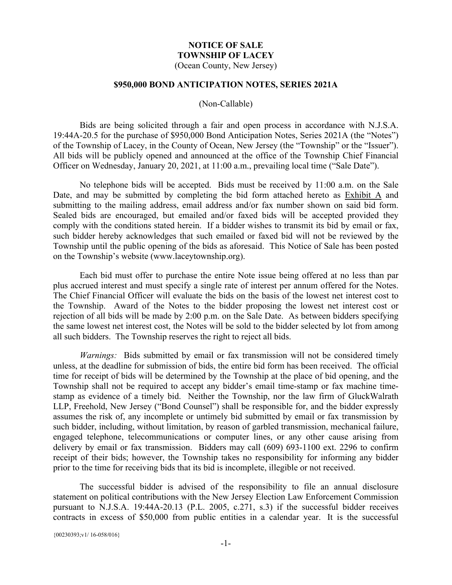# **NOTICE OF SALE TOWNSHIP OF LACEY**

(Ocean County, New Jersey)

#### **\$950,000 BOND ANTICIPATION NOTES, SERIES 2021A**

#### (Non-Callable)

Bids are being solicited through a fair and open process in accordance with N.J.S.A. 19:44A-20.5 for the purchase of \$950,000 Bond Anticipation Notes, Series 2021A (the "Notes") of the Township of Lacey, in the County of Ocean, New Jersey (the "Township" or the "Issuer"). All bids will be publicly opened and announced at the office of the Township Chief Financial Officer on Wednesday, January 20, 2021, at 11:00 a.m., prevailing local time ("Sale Date").

No telephone bids will be accepted. Bids must be received by 11:00 a.m. on the Sale Date, and may be submitted by completing the bid form attached hereto as Exhibit A and submitting to the mailing address, email address and/or fax number shown on said bid form. Sealed bids are encouraged, but emailed and/or faxed bids will be accepted provided they comply with the conditions stated herein. If a bidder wishes to transmit its bid by email or fax, such bidder hereby acknowledges that such emailed or faxed bid will not be reviewed by the Township until the public opening of the bids as aforesaid. This Notice of Sale has been posted on the Township's website (www.laceytownship.org).

Each bid must offer to purchase the entire Note issue being offered at no less than par plus accrued interest and must specify a single rate of interest per annum offered for the Notes. The Chief Financial Officer will evaluate the bids on the basis of the lowest net interest cost to the Township. Award of the Notes to the bidder proposing the lowest net interest cost or rejection of all bids will be made by 2:00 p.m. on the Sale Date. As between bidders specifying the same lowest net interest cost, the Notes will be sold to the bidder selected by lot from among all such bidders. The Township reserves the right to reject all bids.

*Warnings:* Bids submitted by email or fax transmission will not be considered timely unless, at the deadline for submission of bids, the entire bid form has been received. The official time for receipt of bids will be determined by the Township at the place of bid opening, and the Township shall not be required to accept any bidder's email time-stamp or fax machine timestamp as evidence of a timely bid. Neither the Township, nor the law firm of GluckWalrath LLP, Freehold, New Jersey ("Bond Counsel") shall be responsible for, and the bidder expressly assumes the risk of, any incomplete or untimely bid submitted by email or fax transmission by such bidder, including, without limitation, by reason of garbled transmission, mechanical failure, engaged telephone, telecommunications or computer lines, or any other cause arising from delivery by email or fax transmission. Bidders may call (609) 693-1100 ext. 2296 to confirm receipt of their bids; however, the Township takes no responsibility for informing any bidder prior to the time for receiving bids that its bid is incomplete, illegible or not received.

The successful bidder is advised of the responsibility to file an annual disclosure statement on political contributions with the New Jersey Election Law Enforcement Commission pursuant to N.J.S.A. 19:44A-20.13 (P.L. 2005, c.271, s.3) if the successful bidder receives contracts in excess of \$50,000 from public entities in a calendar year. It is the successful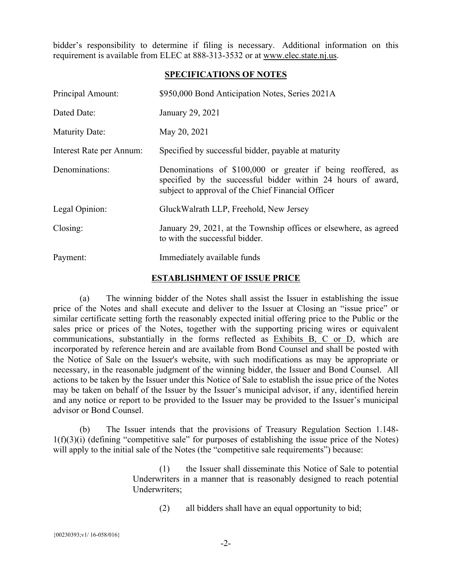bidder's responsibility to determine if filing is necessary. Additional information on this requirement is available from ELEC at 888-313-3532 or at www.elec.state.nj.us.

#### **SPECIFICATIONS OF NOTES**

| Principal Amount:        | \$950,000 Bond Anticipation Notes, Series 2021A                                                                                                                                    |
|--------------------------|------------------------------------------------------------------------------------------------------------------------------------------------------------------------------------|
| Dated Date:              | January 29, 2021                                                                                                                                                                   |
| Maturity Date:           | May 20, 2021                                                                                                                                                                       |
| Interest Rate per Annum: | Specified by successful bidder, payable at maturity                                                                                                                                |
| Denominations:           | Denominations of \$100,000 or greater if being reoffered, as<br>specified by the successful bidder within 24 hours of award,<br>subject to approval of the Chief Financial Officer |
| Legal Opinion:           | GluckWalrath LLP, Freehold, New Jersey                                                                                                                                             |
| Closing:                 | January 29, 2021, at the Township offices or elsewhere, as agreed<br>to with the successful bidder.                                                                                |
| Payment:                 | Immediately available funds                                                                                                                                                        |

#### **ESTABLISHMENT OF ISSUE PRICE**

(a) The winning bidder of the Notes shall assist the Issuer in establishing the issue price of the Notes and shall execute and deliver to the Issuer at Closing an "issue price" or similar certificate setting forth the reasonably expected initial offering price to the Public or the sales price or prices of the Notes, together with the supporting pricing wires or equivalent communications, substantially in the forms reflected as Exhibits B, C or D, which are incorporated by reference herein and are available from Bond Counsel and shall be posted with the Notice of Sale on the Issuer's website, with such modifications as may be appropriate or necessary, in the reasonable judgment of the winning bidder, the Issuer and Bond Counsel. All actions to be taken by the Issuer under this Notice of Sale to establish the issue price of the Notes may be taken on behalf of the Issuer by the Issuer's municipal advisor, if any, identified herein and any notice or report to be provided to the Issuer may be provided to the Issuer's municipal advisor or Bond Counsel.

(b) The Issuer intends that the provisions of Treasury Regulation Section 1.148-  $1(f)(3)(i)$  (defining "competitive sale" for purposes of establishing the issue price of the Notes) will apply to the initial sale of the Notes (the "competitive sale requirements") because:

> (1) the Issuer shall disseminate this Notice of Sale to potential Underwriters in a manner that is reasonably designed to reach potential Underwriters;

(2) all bidders shall have an equal opportunity to bid;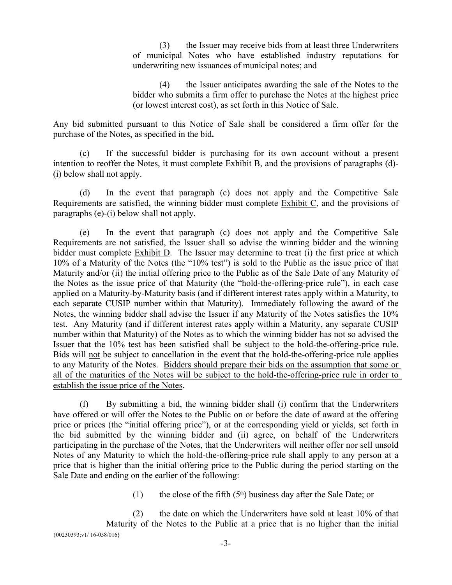(3) the Issuer may receive bids from at least three Underwriters of municipal Notes who have established industry reputations for underwriting new issuances of municipal notes; and

(4) the Issuer anticipates awarding the sale of the Notes to the bidder who submits a firm offer to purchase the Notes at the highest price (or lowest interest cost), as set forth in this Notice of Sale.

Any bid submitted pursuant to this Notice of Sale shall be considered a firm offer for the purchase of the Notes, as specified in the bid**.** 

(c) If the successful bidder is purchasing for its own account without a present intention to reoffer the Notes, it must complete Exhibit B, and the provisions of paragraphs (d)- (i) below shall not apply.

(d) In the event that paragraph (c) does not apply and the Competitive Sale Requirements are satisfied, the winning bidder must complete Exhibit C, and the provisions of paragraphs (e)-(i) below shall not apply.

(e) In the event that paragraph (c) does not apply and the Competitive Sale Requirements are not satisfied, the Issuer shall so advise the winning bidder and the winning bidder must complete Exhibit D. The Issuer may determine to treat (i) the first price at which 10% of a Maturity of the Notes (the "10% test") is sold to the Public as the issue price of that Maturity and/or (ii) the initial offering price to the Public as of the Sale Date of any Maturity of the Notes as the issue price of that Maturity (the "hold-the-offering-price rule"), in each case applied on a Maturity-by-Maturity basis (and if different interest rates apply within a Maturity, to each separate CUSIP number within that Maturity). Immediately following the award of the Notes, the winning bidder shall advise the Issuer if any Maturity of the Notes satisfies the 10% test. Any Maturity (and if different interest rates apply within a Maturity, any separate CUSIP number within that Maturity) of the Notes as to which the winning bidder has not so advised the Issuer that the 10% test has been satisfied shall be subject to the hold-the-offering-price rule. Bids will not be subject to cancellation in the event that the hold-the-offering-price rule applies to any Maturity of the Notes. Bidders should prepare their bids on the assumption that some or all of the maturities of the Notes will be subject to the hold-the-offering-price rule in order to establish the issue price of the Notes.

(f) By submitting a bid, the winning bidder shall (i) confirm that the Underwriters have offered or will offer the Notes to the Public on or before the date of award at the offering price or prices (the "initial offering price"), or at the corresponding yield or yields, set forth in the bid submitted by the winning bidder and (ii) agree, on behalf of the Underwriters participating in the purchase of the Notes, that the Underwriters will neither offer nor sell unsold Notes of any Maturity to which the hold-the-offering-price rule shall apply to any person at a price that is higher than the initial offering price to the Public during the period starting on the Sale Date and ending on the earlier of the following:

(1) the close of the fifth  $(5<sup>th</sup>)$  business day after the Sale Date; or

{00230393;v1/ 16-058/016} (2) the date on which the Underwriters have sold at least  $10\%$  of that Maturity of the Notes to the Public at a price that is no higher than the initial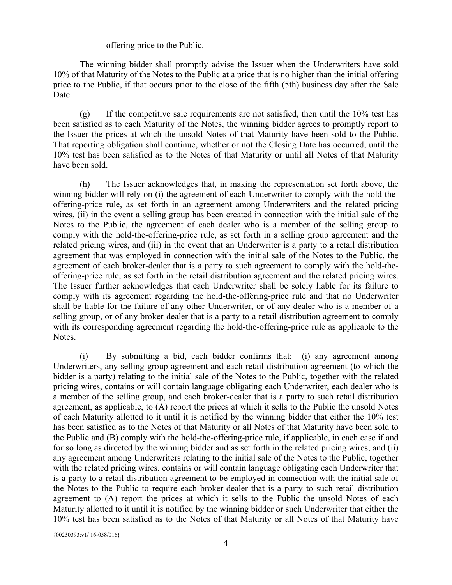#### offering price to the Public.

The winning bidder shall promptly advise the Issuer when the Underwriters have sold 10% of that Maturity of the Notes to the Public at a price that is no higher than the initial offering price to the Public, if that occurs prior to the close of the fifth (5th) business day after the Sale Date.

(g) If the competitive sale requirements are not satisfied, then until the 10% test has been satisfied as to each Maturity of the Notes, the winning bidder agrees to promptly report to the Issuer the prices at which the unsold Notes of that Maturity have been sold to the Public. That reporting obligation shall continue, whether or not the Closing Date has occurred, until the 10% test has been satisfied as to the Notes of that Maturity or until all Notes of that Maturity have been sold.

(h) The Issuer acknowledges that, in making the representation set forth above, the winning bidder will rely on (i) the agreement of each Underwriter to comply with the hold-theoffering-price rule, as set forth in an agreement among Underwriters and the related pricing wires, (ii) in the event a selling group has been created in connection with the initial sale of the Notes to the Public, the agreement of each dealer who is a member of the selling group to comply with the hold-the-offering-price rule, as set forth in a selling group agreement and the related pricing wires, and (iii) in the event that an Underwriter is a party to a retail distribution agreement that was employed in connection with the initial sale of the Notes to the Public, the agreement of each broker-dealer that is a party to such agreement to comply with the hold-theoffering-price rule, as set forth in the retail distribution agreement and the related pricing wires. The Issuer further acknowledges that each Underwriter shall be solely liable for its failure to comply with its agreement regarding the hold-the-offering-price rule and that no Underwriter shall be liable for the failure of any other Underwriter, or of any dealer who is a member of a selling group, or of any broker-dealer that is a party to a retail distribution agreement to comply with its corresponding agreement regarding the hold-the-offering-price rule as applicable to the Notes.

(i) By submitting a bid, each bidder confirms that: (i) any agreement among Underwriters, any selling group agreement and each retail distribution agreement (to which the bidder is a party) relating to the initial sale of the Notes to the Public, together with the related pricing wires, contains or will contain language obligating each Underwriter, each dealer who is a member of the selling group, and each broker-dealer that is a party to such retail distribution agreement, as applicable, to (A) report the prices at which it sells to the Public the unsold Notes of each Maturity allotted to it until it is notified by the winning bidder that either the 10% test has been satisfied as to the Notes of that Maturity or all Notes of that Maturity have been sold to the Public and (B) comply with the hold-the-offering-price rule, if applicable, in each case if and for so long as directed by the winning bidder and as set forth in the related pricing wires, and (ii) any agreement among Underwriters relating to the initial sale of the Notes to the Public, together with the related pricing wires, contains or will contain language obligating each Underwriter that is a party to a retail distribution agreement to be employed in connection with the initial sale of the Notes to the Public to require each broker-dealer that is a party to such retail distribution agreement to (A) report the prices at which it sells to the Public the unsold Notes of each Maturity allotted to it until it is notified by the winning bidder or such Underwriter that either the 10% test has been satisfied as to the Notes of that Maturity or all Notes of that Maturity have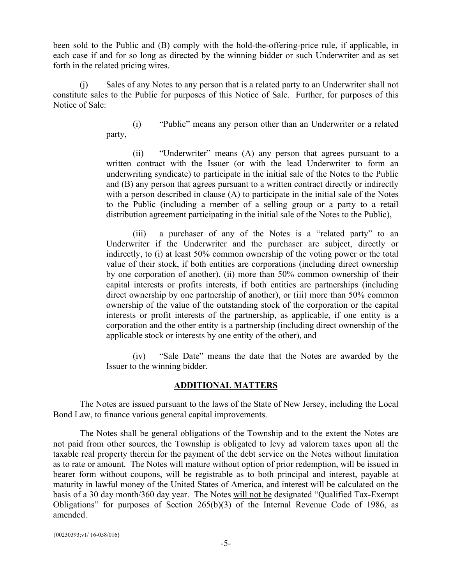been sold to the Public and (B) comply with the hold-the-offering-price rule, if applicable, in each case if and for so long as directed by the winning bidder or such Underwriter and as set forth in the related pricing wires.

(j) Sales of any Notes to any person that is a related party to an Underwriter shall not constitute sales to the Public for purposes of this Notice of Sale. Further, for purposes of this Notice of Sale:

> (i) "Public" means any person other than an Underwriter or a related party,

> (ii) "Underwriter" means (A) any person that agrees pursuant to a written contract with the Issuer (or with the lead Underwriter to form an underwriting syndicate) to participate in the initial sale of the Notes to the Public and (B) any person that agrees pursuant to a written contract directly or indirectly with a person described in clause (A) to participate in the initial sale of the Notes to the Public (including a member of a selling group or a party to a retail distribution agreement participating in the initial sale of the Notes to the Public),

> (iii) a purchaser of any of the Notes is a "related party" to an Underwriter if the Underwriter and the purchaser are subject, directly or indirectly, to (i) at least 50% common ownership of the voting power or the total value of their stock, if both entities are corporations (including direct ownership by one corporation of another), (ii) more than 50% common ownership of their capital interests or profits interests, if both entities are partnerships (including direct ownership by one partnership of another), or (iii) more than 50% common ownership of the value of the outstanding stock of the corporation or the capital interests or profit interests of the partnership, as applicable, if one entity is a corporation and the other entity is a partnership (including direct ownership of the applicable stock or interests by one entity of the other), and

> (iv) "Sale Date" means the date that the Notes are awarded by the Issuer to the winning bidder.

#### **ADDITIONAL MATTERS**

The Notes are issued pursuant to the laws of the State of New Jersey, including the Local Bond Law, to finance various general capital improvements.

The Notes shall be general obligations of the Township and to the extent the Notes are not paid from other sources, the Township is obligated to levy ad valorem taxes upon all the taxable real property therein for the payment of the debt service on the Notes without limitation as to rate or amount. The Notes will mature without option of prior redemption, will be issued in bearer form without coupons, will be registrable as to both principal and interest, payable at maturity in lawful money of the United States of America, and interest will be calculated on the basis of a 30 day month/360 day year. The Notes will not be designated "Qualified Tax-Exempt Obligations" for purposes of Section 265(b)(3) of the Internal Revenue Code of 1986, as amended.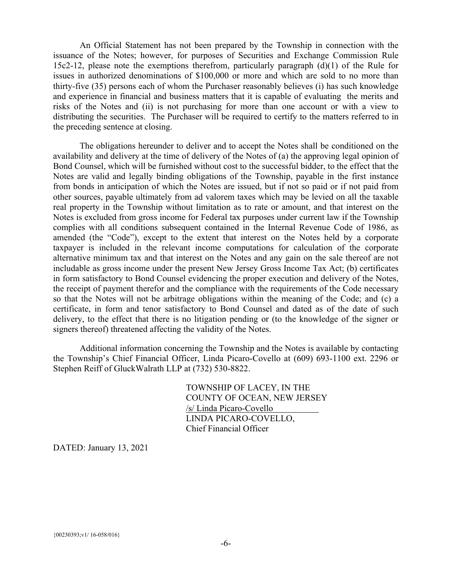An Official Statement has not been prepared by the Township in connection with the issuance of the Notes; however, for purposes of Securities and Exchange Commission Rule 15c2-12, please note the exemptions therefrom, particularly paragraph (d)(1) of the Rule for issues in authorized denominations of \$100,000 or more and which are sold to no more than thirty-five (35) persons each of whom the Purchaser reasonably believes (i) has such knowledge and experience in financial and business matters that it is capable of evaluating the merits and risks of the Notes and (ii) is not purchasing for more than one account or with a view to distributing the securities. The Purchaser will be required to certify to the matters referred to in the preceding sentence at closing.

The obligations hereunder to deliver and to accept the Notes shall be conditioned on the availability and delivery at the time of delivery of the Notes of (a) the approving legal opinion of Bond Counsel, which will be furnished without cost to the successful bidder, to the effect that the Notes are valid and legally binding obligations of the Township, payable in the first instance from bonds in anticipation of which the Notes are issued, but if not so paid or if not paid from other sources, payable ultimately from ad valorem taxes which may be levied on all the taxable real property in the Township without limitation as to rate or amount, and that interest on the Notes is excluded from gross income for Federal tax purposes under current law if the Township complies with all conditions subsequent contained in the Internal Revenue Code of 1986, as amended (the "Code"), except to the extent that interest on the Notes held by a corporate taxpayer is included in the relevant income computations for calculation of the corporate alternative minimum tax and that interest on the Notes and any gain on the sale thereof are not includable as gross income under the present New Jersey Gross Income Tax Act; (b) certificates in form satisfactory to Bond Counsel evidencing the proper execution and delivery of the Notes, the receipt of payment therefor and the compliance with the requirements of the Code necessary so that the Notes will not be arbitrage obligations within the meaning of the Code; and (c) a certificate, in form and tenor satisfactory to Bond Counsel and dated as of the date of such delivery, to the effect that there is no litigation pending or (to the knowledge of the signer or signers thereof) threatened affecting the validity of the Notes.

Additional information concerning the Township and the Notes is available by contacting the Township's Chief Financial Officer, Linda Picaro-Covello at (609) 693-1100 ext. 2296 or Stephen Reiff of GluckWalrath LLP at (732) 530-8822.

> TOWNSHIP OF LACEY, IN THE COUNTY OF OCEAN, NEW JERSEY /s/ Linda Picaro-Covello LINDA PICARO-COVELLO, Chief Financial Officer

DATED: January 13, 2021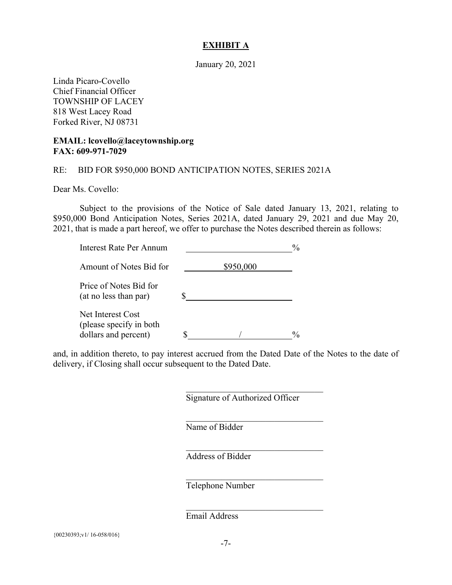#### **EXHIBIT A**

January 20, 2021

Linda Picaro-Covello Chief Financial Officer TOWNSHIP OF LACEY 818 West Lacey Road Forked River, NJ 08731

#### **EMAIL: lcovello@laceytownship.org FAX: 609-971-7029**

#### RE: BID FOR \$950,000 BOND ANTICIPATION NOTES, SERIES 2021A

Dear Ms. Covello:

Subject to the provisions of the Notice of Sale dated January 13, 2021, relating to \$950,000 Bond Anticipation Notes, Series 2021A, dated January 29, 2021 and due May 20, 2021, that is made a part hereof, we offer to purchase the Notes described therein as follows:

| Interest Rate Per Annum                                               |           | $\%$ |  |
|-----------------------------------------------------------------------|-----------|------|--|
| Amount of Notes Bid for                                               | \$950,000 |      |  |
| Price of Notes Bid for<br>(at no less than par)                       |           |      |  |
| Net Interest Cost<br>(please specify in both)<br>dollars and percent) |           | $\%$ |  |

and, in addition thereto, to pay interest accrued from the Dated Date of the Notes to the date of delivery, if Closing shall occur subsequent to the Dated Date.

Signature of Authorized Officer

 $\mathcal{L}_\text{max}$  and  $\mathcal{L}_\text{max}$  and  $\mathcal{L}_\text{max}$  and  $\mathcal{L}_\text{max}$ 

 $\mathcal{L}_\text{max}$  and  $\mathcal{L}_\text{max}$  and  $\mathcal{L}_\text{max}$  and  $\mathcal{L}_\text{max}$ 

 $\mathcal{L}_\text{max}$  and  $\mathcal{L}_\text{max}$  and  $\mathcal{L}_\text{max}$  and  $\mathcal{L}_\text{max}$ 

 $\mathcal{L}_\text{max}$  and  $\mathcal{L}_\text{max}$  and  $\mathcal{L}_\text{max}$  and  $\mathcal{L}_\text{max}$ 

 $\mathcal{L}_\text{max}$  and  $\mathcal{L}_\text{max}$  and  $\mathcal{L}_\text{max}$  and  $\mathcal{L}_\text{max}$ 

Name of Bidder

Address of Bidder

Telephone Number

Email Address

{00230393;v1/ 16-058/016}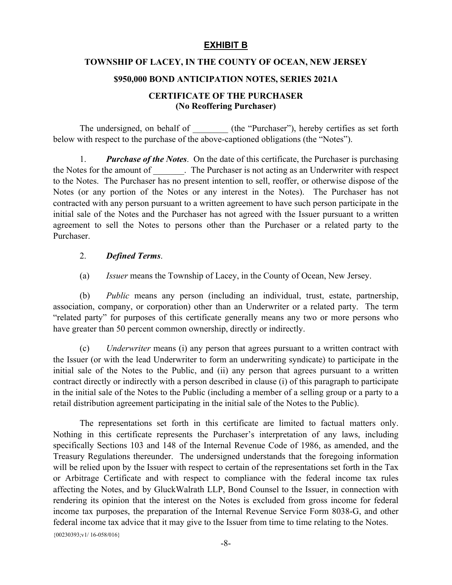# **EXHIBIT B**

#### **TOWNSHIP OF LACEY, IN THE COUNTY OF OCEAN, NEW JERSEY**

#### **\$950,000 BOND ANTICIPATION NOTES, SERIES 2021A**

#### **CERTIFICATE OF THE PURCHASER (No Reoffering Purchaser)**

The undersigned, on behalf of \_\_\_\_\_\_\_\_ (the "Purchaser"), hereby certifies as set forth below with respect to the purchase of the above-captioned obligations (the "Notes").

1. *Purchase of the Notes*. On the date of this certificate, the Purchaser is purchasing the Notes for the amount of . The Purchaser is not acting as an Underwriter with respect to the Notes. The Purchaser has no present intention to sell, reoffer, or otherwise dispose of the Notes (or any portion of the Notes or any interest in the Notes). The Purchaser has not contracted with any person pursuant to a written agreement to have such person participate in the initial sale of the Notes and the Purchaser has not agreed with the Issuer pursuant to a written agreement to sell the Notes to persons other than the Purchaser or a related party to the Purchaser.

#### 2. *Defined Terms*.

(a) *Issuer* means the Township of Lacey, in the County of Ocean, New Jersey.

(b) *Public* means any person (including an individual, trust, estate, partnership, association, company, or corporation) other than an Underwriter or a related party. The term "related party" for purposes of this certificate generally means any two or more persons who have greater than 50 percent common ownership, directly or indirectly.

(c) *Underwriter* means (i) any person that agrees pursuant to a written contract with the Issuer (or with the lead Underwriter to form an underwriting syndicate) to participate in the initial sale of the Notes to the Public, and (ii) any person that agrees pursuant to a written contract directly or indirectly with a person described in clause (i) of this paragraph to participate in the initial sale of the Notes to the Public (including a member of a selling group or a party to a retail distribution agreement participating in the initial sale of the Notes to the Public).

{00230393;v1/ 16-058/016} The representations set forth in this certificate are limited to factual matters only. Nothing in this certificate represents the Purchaser's interpretation of any laws, including specifically Sections 103 and 148 of the Internal Revenue Code of 1986, as amended, and the Treasury Regulations thereunder. The undersigned understands that the foregoing information will be relied upon by the Issuer with respect to certain of the representations set forth in the Tax or Arbitrage Certificate and with respect to compliance with the federal income tax rules affecting the Notes, and by GluckWalrath LLP, Bond Counsel to the Issuer, in connection with rendering its opinion that the interest on the Notes is excluded from gross income for federal income tax purposes, the preparation of the Internal Revenue Service Form 8038-G, and other federal income tax advice that it may give to the Issuer from time to time relating to the Notes.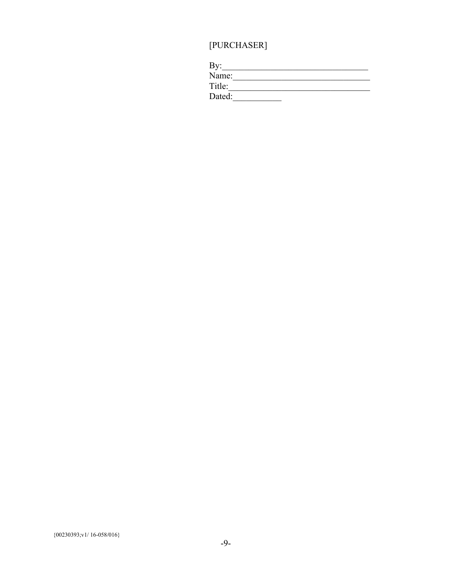# $[{\rm PURCHASER}]$

| By:    |  |
|--------|--|
| Name:  |  |
| Title: |  |
| Dated: |  |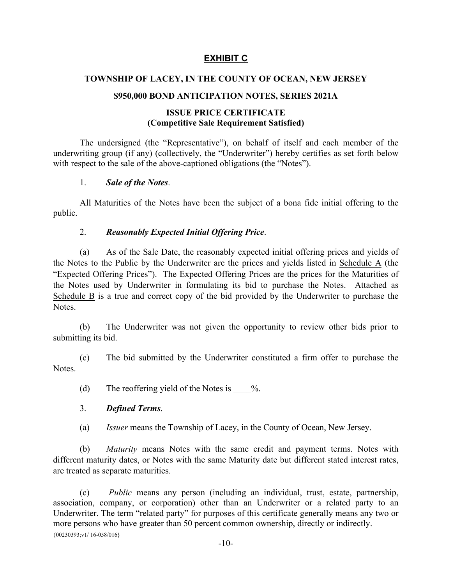# **EXHIBIT C**

#### **TOWNSHIP OF LACEY, IN THE COUNTY OF OCEAN, NEW JERSEY**

#### **\$950,000 BOND ANTICIPATION NOTES, SERIES 2021A**

#### **ISSUE PRICE CERTIFICATE (Competitive Sale Requirement Satisfied)**

The undersigned (the "Representative"), on behalf of itself and each member of the underwriting group (if any) (collectively, the "Underwriter") hereby certifies as set forth below with respect to the sale of the above-captioned obligations (the "Notes").

#### 1. *Sale of the Notes*.

All Maturities of the Notes have been the subject of a bona fide initial offering to the public.

#### 2. *Reasonably Expected Initial Offering Price*.

(a) As of the Sale Date, the reasonably expected initial offering prices and yields of the Notes to the Public by the Underwriter are the prices and yields listed in Schedule A (the "Expected Offering Prices"). The Expected Offering Prices are the prices for the Maturities of the Notes used by Underwriter in formulating its bid to purchase the Notes. Attached as Schedule B is a true and correct copy of the bid provided by the Underwriter to purchase the **Notes**.

(b) The Underwriter was not given the opportunity to review other bids prior to submitting its bid.

(c) The bid submitted by the Underwriter constituted a firm offer to purchase the **Notes**.

(d) The reoffering yield of the Notes is  $\%$ .

#### 3. *Defined Terms*.

(a) *Issuer* means the Township of Lacey, in the County of Ocean, New Jersey.

(b) *Maturity* means Notes with the same credit and payment terms. Notes with different maturity dates, or Notes with the same Maturity date but different stated interest rates, are treated as separate maturities.

{00230393;v1/ 16-058/016} (c) *Public* means any person (including an individual, trust, estate, partnership, association, company, or corporation) other than an Underwriter or a related party to an Underwriter. The term "related party" for purposes of this certificate generally means any two or more persons who have greater than 50 percent common ownership, directly or indirectly.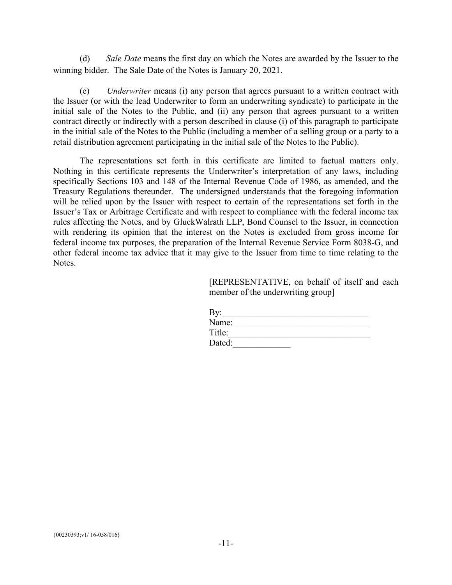(d) *Sale Date* means the first day on which the Notes are awarded by the Issuer to the winning bidder. The Sale Date of the Notes is January 20, 2021.

(e) *Underwriter* means (i) any person that agrees pursuant to a written contract with the Issuer (or with the lead Underwriter to form an underwriting syndicate) to participate in the initial sale of the Notes to the Public, and (ii) any person that agrees pursuant to a written contract directly or indirectly with a person described in clause (i) of this paragraph to participate in the initial sale of the Notes to the Public (including a member of a selling group or a party to a retail distribution agreement participating in the initial sale of the Notes to the Public).

The representations set forth in this certificate are limited to factual matters only. Nothing in this certificate represents the Underwriter's interpretation of any laws, including specifically Sections 103 and 148 of the Internal Revenue Code of 1986, as amended, and the Treasury Regulations thereunder. The undersigned understands that the foregoing information will be relied upon by the Issuer with respect to certain of the representations set forth in the Issuer's Tax or Arbitrage Certificate and with respect to compliance with the federal income tax rules affecting the Notes, and by GluckWalrath LLP, Bond Counsel to the Issuer, in connection with rendering its opinion that the interest on the Notes is excluded from gross income for federal income tax purposes, the preparation of the Internal Revenue Service Form 8038-G, and other federal income tax advice that it may give to the Issuer from time to time relating to the Notes.

> [REPRESENTATIVE, on behalf of itself and each member of the underwriting group]

| By:    |  |  |
|--------|--|--|
| Name:  |  |  |
| Title: |  |  |
| Dated: |  |  |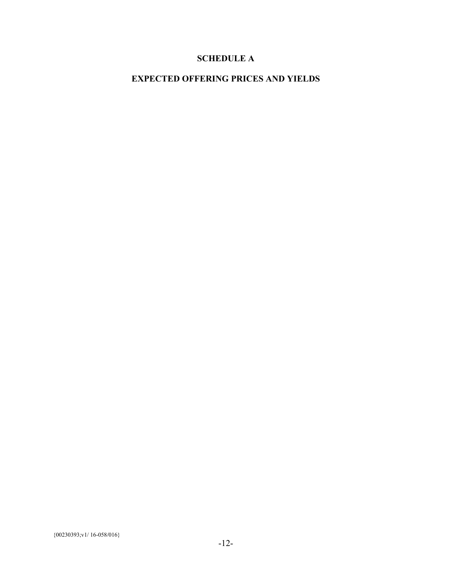# **SCHEDULE A**

# **EXPECTED OFFERING PRICES AND YIELDS**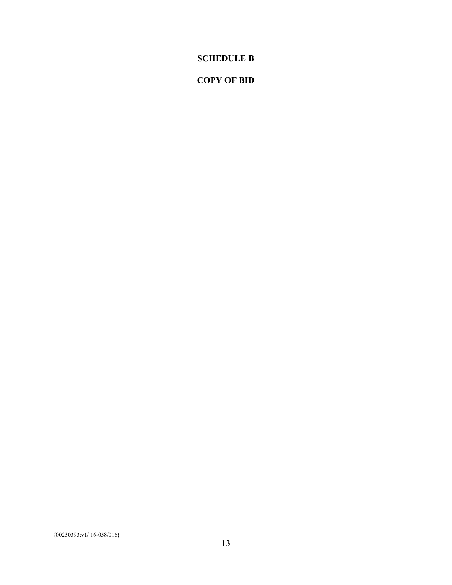# **SCHEDULE B**

# **COPY OF BID**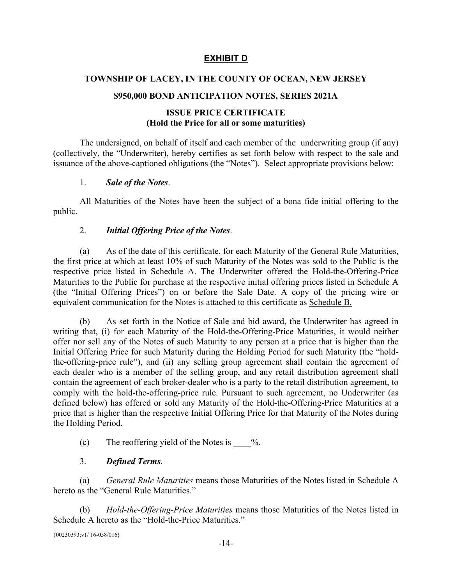# **EXHIBIT D**

#### **TOWNSHIP OF LACEY, IN THE COUNTY OF OCEAN, NEW JERSEY**

#### **\$950,000 BOND ANTICIPATION NOTES, SERIES 2021A**

#### **ISSUE PRICE CERTIFICATE (Hold the Price for all or some maturities)**

The undersigned, on behalf of itself and each member of the underwriting group (if any) (collectively, the "Underwriter), hereby certifies as set forth below with respect to the sale and issuance of the above-captioned obligations (the "Notes"). Select appropriate provisions below:

#### 1. *Sale of the Notes*.

All Maturities of the Notes have been the subject of a bona fide initial offering to the public.

#### 2. *Initial Offering Price of the Notes*.

(a) As of the date of this certificate, for each Maturity of the General Rule Maturities, the first price at which at least 10% of such Maturity of the Notes was sold to the Public is the respective price listed in Schedule A. The Underwriter offered the Hold-the-Offering-Price Maturities to the Public for purchase at the respective initial offering prices listed in Schedule A (the "Initial Offering Prices") on or before the Sale Date. A copy of the pricing wire or equivalent communication for the Notes is attached to this certificate as Schedule B.

(b) As set forth in the Notice of Sale and bid award, the Underwriter has agreed in writing that, (i) for each Maturity of the Hold-the-Offering-Price Maturities, it would neither offer nor sell any of the Notes of such Maturity to any person at a price that is higher than the Initial Offering Price for such Maturity during the Holding Period for such Maturity (the "holdthe-offering-price rule"), and (ii) any selling group agreement shall contain the agreement of each dealer who is a member of the selling group, and any retail distribution agreement shall contain the agreement of each broker-dealer who is a party to the retail distribution agreement, to comply with the hold-the-offering-price rule. Pursuant to such agreement, no Underwriter (as defined below) has offered or sold any Maturity of the Hold-the-Offering-Price Maturities at a price that is higher than the respective Initial Offering Price for that Maturity of the Notes during the Holding Period.

(c) The reoffering yield of the Notes is  $\%$ .

3. *Defined Terms*. (a) *General Rule Maturities* means those Maturities of the Notes listed in Schedule A hereto as the "General Rule Maturities."

(b) *Hold-the-Offering-Price Maturities* means those Maturities of the Notes listed in Schedule A hereto as the "Hold-the-Price Maturities."

{00230393;v1/ 16-058/016}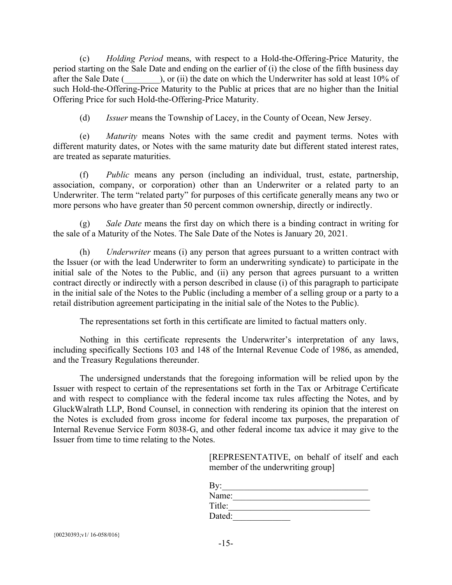(c) *Holding Period* means, with respect to a Hold-the-Offering-Price Maturity, the period starting on the Sale Date and ending on the earlier of (i) the close of the fifth business day after the Sale Date  $($ , or (ii) the date on which the Underwriter has sold at least 10% of such Hold-the-Offering-Price Maturity to the Public at prices that are no higher than the Initial Offering Price for such Hold-the-Offering-Price Maturity.

(d) *Issuer* means the Township of Lacey, in the County of Ocean, New Jersey.

(e) *Maturity* means Notes with the same credit and payment terms. Notes with different maturity dates, or Notes with the same maturity date but different stated interest rates, are treated as separate maturities.

(f) *Public* means any person (including an individual, trust, estate, partnership, association, company, or corporation) other than an Underwriter or a related party to an Underwriter. The term "related party" for purposes of this certificate generally means any two or more persons who have greater than 50 percent common ownership, directly or indirectly.

(g) *Sale Date* means the first day on which there is a binding contract in writing for the sale of a Maturity of the Notes. The Sale Date of the Notes is January 20, 2021.

(h) *Underwriter* means (i) any person that agrees pursuant to a written contract with the Issuer (or with the lead Underwriter to form an underwriting syndicate) to participate in the initial sale of the Notes to the Public, and (ii) any person that agrees pursuant to a written contract directly or indirectly with a person described in clause (i) of this paragraph to participate in the initial sale of the Notes to the Public (including a member of a selling group or a party to a retail distribution agreement participating in the initial sale of the Notes to the Public).

The representations set forth in this certificate are limited to factual matters only.

Nothing in this certificate represents the Underwriter's interpretation of any laws, including specifically Sections 103 and 148 of the Internal Revenue Code of 1986, as amended, and the Treasury Regulations thereunder.

The undersigned understands that the foregoing information will be relied upon by the Issuer with respect to certain of the representations set forth in the Tax or Arbitrage Certificate and with respect to compliance with the federal income tax rules affecting the Notes, and by GluckWalrath LLP, Bond Counsel, in connection with rendering its opinion that the interest on the Notes is excluded from gross income for federal income tax purposes, the preparation of Internal Revenue Service Form 8038-G, and other federal income tax advice it may give to the Issuer from time to time relating to the Notes.

> [REPRESENTATIVE, on behalf of itself and each member of the underwriting group]

| By:    |  |  |
|--------|--|--|
| Name:  |  |  |
| Title: |  |  |
| Dated: |  |  |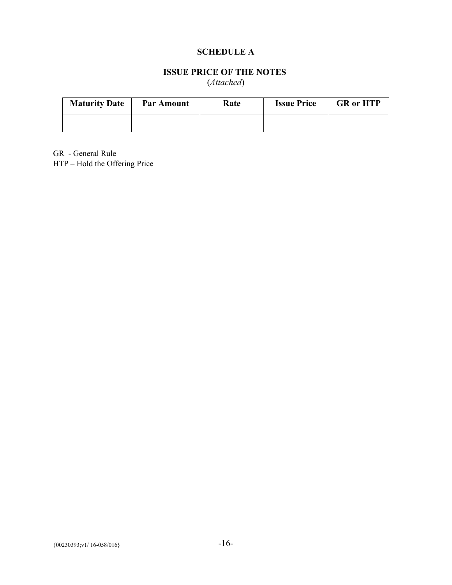# **SCHEDULE A**

# **ISSUE PRICE OF THE NOTES**

(*Attached*)

| <b>Maturity Date</b> | <b>Par Amount</b> | Rate | <b>Issue Price</b> | <b>GR</b> or HTP |
|----------------------|-------------------|------|--------------------|------------------|
|                      |                   |      |                    |                  |

GR - General Rule HTP – Hold the Offering Price